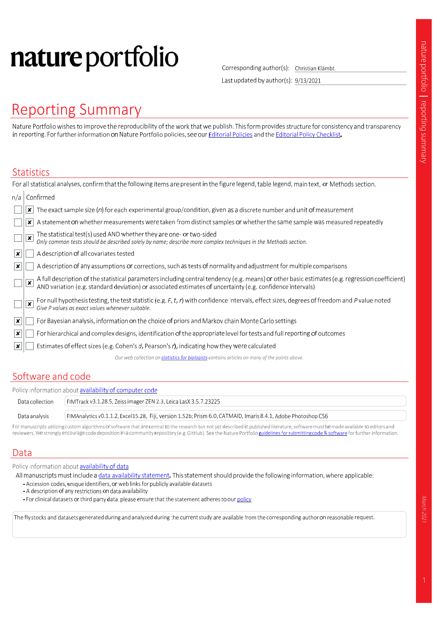# nature portfolio

Corresponding author(s): Christian Klämbt

Last updated by author(s): 9/13/2021

# **Reporting Summary**

Nature Portfolio wishes to improve the reproducibility of the work that we publish. This form provides structure for consistency and transparency in reporting. For further information on Nature Portfolio policies, see our Editorial Policies and the Editorial Policy Checklist.

#### **Statistics**

|                           | For all statistical analyses, confirm that the following items are present in the figure legend, table legend, main text, or Methods section.                                                                                                                |
|---------------------------|--------------------------------------------------------------------------------------------------------------------------------------------------------------------------------------------------------------------------------------------------------------|
| n/a                       | Confirmed                                                                                                                                                                                                                                                    |
|                           | The exact sample size $(n)$ for each experimental group/condition, given as a discrete number and unit of measurement<br>×                                                                                                                                   |
|                           | A statement on whether measurements were taken from distinct samples or whether the same sample was measured repeatedly<br>x                                                                                                                                 |
|                           | The statistical test(s) used AND whether they are one- or two-sided<br>Only common tests should be described solely by name; describe more complex techniques in the Methods section.<br>$\overline{\mathbf{x}}$                                             |
| ∣×.                       | A description of all covariates tested                                                                                                                                                                                                                       |
| $\boldsymbol{\mathsf{x}}$ | A description of any assumptions or corrections, such as tests of normality and adjustment for multiple comparisons                                                                                                                                          |
|                           | A full description of the statistical parameters including central tendency (e.g. means) or other basic estimates (e.g. regression coefficient)<br>AND variation (e.g. standard deviation) or associated estimates of uncertainty<br>$\overline{\mathbf{x}}$ |
|                           | For null hypothesis testing, the test statistic (e.g. F, t, r) with confidence intervals, effect sizes, degrees of freedom and P value noted Give P values as exact values whenever suitable.<br>×                                                           |
| $\mathbf{x}$              | For Bayesian analysis, information on the choice of priors and Markov chain Monte Carlo settings                                                                                                                                                             |
| ∣x∣                       | For hierarchical and complex designs, identification of the appropriate level for tests and full reporting of outcomes                                                                                                                                       |
|                           | Estimates of effect sizes (e.g. Cohen's d, Pearson's r), indicating how they were calculated                                                                                                                                                                 |
|                           | Our web collection on statistics for biologists contains articles on many of the points above.                                                                                                                                                               |
|                           |                                                                                                                                                                                                                                                              |

### Software and code

| Policy information about <b>availability of computer code</b> |                                                                                                                                                                                                                                |  |  |
|---------------------------------------------------------------|--------------------------------------------------------------------------------------------------------------------------------------------------------------------------------------------------------------------------------|--|--|
| Data collection                                               | FIMTrack v3.1.28.5, Zeiss imager ZEN 2.3, Leica LasX 3.5.7.23225                                                                                                                                                               |  |  |
| Data analysis                                                 | FIMAnalytics v0.1.1.2, Excel15.28, Fiji, version 1.52b; Prism 6.0, CATMAID, Imaris 8.4.1, Adobe Photoshop CS6                                                                                                                  |  |  |
|                                                               | For an extended that of comparable comparable and concerned and a comparable of the set of the set of the set of the comparable of the set of the set of the set of the set of the set of the set of the set of the set of the |  |  |

For manuscripts utilizing custom algorithms or software that are central to the research but not yet described in published literature, software must be made available to editors and reviewers. We strongly encourage code deposition in a community repository (e.g. GitHub). See the Nature Portfolio guidelines for submitting code & software for further information.

### Data

Policy information about availability of data

All manuscripts must include a data availability statement. This statement should provide the following information, where applicable:

- Accession codes, unique identifiers, or web links for publicly available datasets
- A description of any restrictions on data availability
- For clinical datasets or third party data, please ensure that the statement adheres to our policy

The fly stocks and datasets generated during and analyzed during the current study are available from the corresponding author on reasonable request.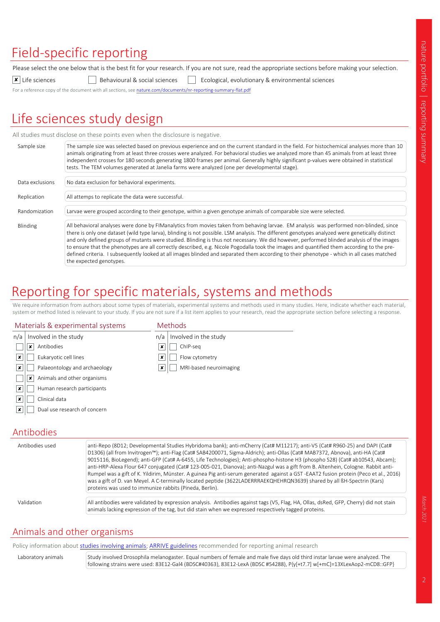# Field-specific reporting

Please select the one below that is the best fit for your research. If you are not sure, read the appropriate sections before making your selection.

 $\boxed{\textbf{x}}$  Life sciences  $\boxed{\phantom{\textbf{x}}}$  Behavioural & social sciences  $\boxed{\phantom{\textbf{x}}}$  Ecological, evolutionary & environmental sciences

For a reference copy of the document with all sections, see nature.com/documents/nr-reporting-summary-flat.pdf

# Life sciences study design

All studies must disclose on these points even when the disclosure is negative.

| Sample size     | The sample size was selected based on previous experience and on the current standard in the field. For histochemical analyses more than 10<br>animals originating from at least three crosses were analyzed. For behavioral studies we analyzed more than 45 animals from at least three<br>independent crosses for 180 seconds generating 1800 frames per animal. Generally highly significant p-values were obtained in statistical                                                                                                                                                                                                                                                                                                                        |
|-----------------|---------------------------------------------------------------------------------------------------------------------------------------------------------------------------------------------------------------------------------------------------------------------------------------------------------------------------------------------------------------------------------------------------------------------------------------------------------------------------------------------------------------------------------------------------------------------------------------------------------------------------------------------------------------------------------------------------------------------------------------------------------------|
|                 | tests. The TEM volumes generated at Janelia farms were analyzed (one per developmental stage).                                                                                                                                                                                                                                                                                                                                                                                                                                                                                                                                                                                                                                                                |
| Data exclusions | No data exclusion for behavioral experiments.                                                                                                                                                                                                                                                                                                                                                                                                                                                                                                                                                                                                                                                                                                                 |
| Replication     | All attemps to replicate the data were successful.                                                                                                                                                                                                                                                                                                                                                                                                                                                                                                                                                                                                                                                                                                            |
| Randomization   | Larvae were grouped according to their genotype, within a given genotype animals of comparable size were selected.                                                                                                                                                                                                                                                                                                                                                                                                                                                                                                                                                                                                                                            |
| Blinding        | All behavioral analyses were done by FIManalytics from movies taken from behaving larvae. EM analysis was performed non-blinded, since<br>there is only one dataset (wild type larva), blinding is not possible. LSM analysis. The different genotypes analyzed were genetically distinct<br>and only defined groups of mutants were studied. Blinding is thus not necessary. We did however, performed blinded analysis of the images<br>to ensure that the phenotypes are all correctly described, e.g. Nicole Pogodalla took the images and quantified them according to the pre-<br>defined criteria. I subsequently looked at all images blinded and separated them according to their phenotype - which in all cases matched<br>the expected genotypes. |

## Reporting for specific materials, systems and methods

We require information from authors about some types of materials, experimental systems and methods used in many studies. Here, indicate whether each material, system or method listed is relevant to your study. If you are not sure if a list item applies to your research, read the appropriate section before selecting a response.

#### Materials & experimental systems

| Methods |  |  |
|---------|--|--|
|         |  |  |

| n/a              | Involved in the study                             | n/a | Involved in the study  |
|------------------|---------------------------------------------------|-----|------------------------|
|                  | Antibodies<br>$\bullet$<br>$\boldsymbol{\lambda}$ | x   | ChIP-seq               |
| $\mathbf{x}$     | Eukaryotic cell lines                             | ×   | Flow cytometry         |
| $\boldsymbol{x}$ | Palaeontology and archaeology                     | x   | MRI-based neuroimaging |
|                  | Animals and other organisms<br>$\boldsymbol{\pi}$ |     |                        |
| $\boldsymbol{x}$ | Human research participants                       |     |                        |
| $\boldsymbol{x}$ | Clinical data                                     |     |                        |
| $\mathbf{x}$     | Dual use research of concern                      |     |                        |
|                  |                                                   |     |                        |

### Antibodies

| Antibodies used | anti-Repo (8D12; Developmental Studies Hybridoma bank); anti-mCherry (Cat# M11217); anti-V5 (Cat# R960-25) and DAPI (Cat#<br>D1306) (all from Invitrogen <sup>™</sup> ); anti-Flag (Cat# SAB4200071, Sigma-Aldrich); anti-Ollas (Cat# MAB7372, Abnova), anti-HA (Cat#<br>9015116, BioLegend); anti-GFP (Cat# A-6455, Life Technologies); Anti-phospho-histone H3 (phospho S28) (Cat# ab10543, Abcam);<br>anti-HRP-Alexa Flour 647 conjugated (Cat# 123-005-021, Dianova); anti-Nazgul was a gift from B. Altenhein, Cologne. Rabbit anti-<br>Rumpel was a gift of K. Yildirim, Münster. A guinea Pig anti-serum generated against a GST-EAAT2 fusion protein (Peco et al., 2016)<br>was a gift of D. van Meyel. A C-terminally located peptide (3622LADERRRAEKQHEHRQN3639) shared by all BH-Spectrin (Kars)<br>proteins was used to immunize rabbits (Pineda, Berlin). |
|-----------------|------------------------------------------------------------------------------------------------------------------------------------------------------------------------------------------------------------------------------------------------------------------------------------------------------------------------------------------------------------------------------------------------------------------------------------------------------------------------------------------------------------------------------------------------------------------------------------------------------------------------------------------------------------------------------------------------------------------------------------------------------------------------------------------------------------------------------------------------------------------------|
| Validation      | All antibodies were validated by expression analysis. Antibodies against tags (V5, Flag, HA, Ollas, dsRed, GFP, Cherry) did not stain<br>animals lacking expression of the tag, but did stain when we expressed respectively tagged proteins.                                                                                                                                                                                                                                                                                                                                                                                                                                                                                                                                                                                                                          |

#### Animals and other organisms

Policy information about studies involving animals; ARRIVE guidelines recommended for reporting animal research

Laboratory animals Study involved Drosophila melanogaster. Equal numbers of female and male five days old third instar larvae were analyzed. The following strains were used: 83E12-Gal4 (BDSC#40363), 83E12-LexA (BDSC #54288), P{y[+t7.7] w[+mC]=13XLexAop2-mCD8::GFP}